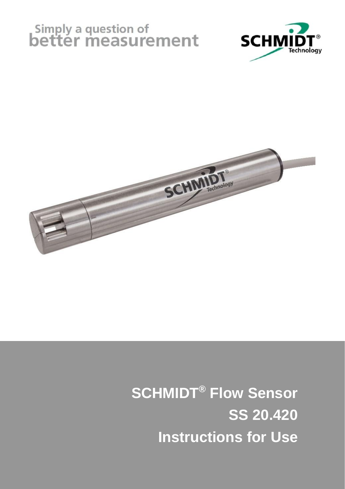# Simply a question of<br>better measurement





**SCHMIDT® Flow Sensor SS 20.420 Instructions for Use**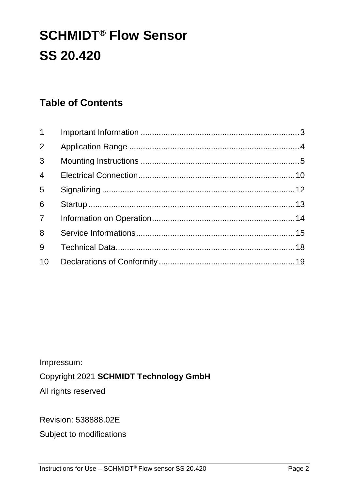# **SCHMIDT® Flow Sensor SS 20.420**

#### **Table of Contents**

| 10 |  |
|----|--|
|    |  |

Impressum:

#### Copyright 2021 **SCHMIDT Technology GmbH**

All rights reserved

Revision: 538888.02E

Subject to modifications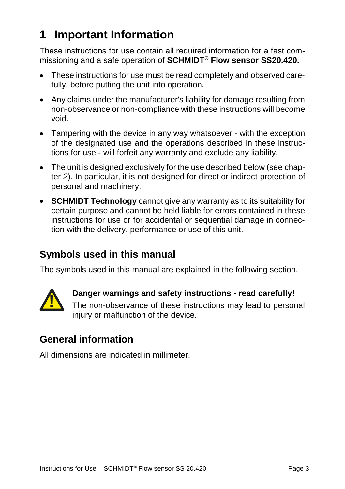# <span id="page-2-0"></span>**1 Important Information**

These instructions for use contain all required information for a fast commissioning and a safe operation of **SCHMIDT® Flow sensor SS20.420.**

- These instructions for use must be read completely and observed carefully, before putting the unit into operation.
- Any claims under the manufacturer's liability for damage resulting from non-observance or non-compliance with these instructions will become void.
- Tampering with the device in any way whatsoever with the exception of the designated use and the operations described in these instructions for use - will forfeit any warranty and exclude any liability.
- The unit is designed exclusively for the use described below (see chapter *[2](#page-3-0)*). In particular, it is not designed for direct or indirect protection of personal and machinery.
- **SCHMIDT Technology** cannot give any warranty as to its suitability for certain purpose and cannot be held liable for errors contained in these instructions for use or for accidental or sequential damage in connection with the delivery, performance or use of this unit.

#### **Symbols used in this manual**

The symbols used in this manual are explained in the following section.



## **Danger warnings and safety instructions - read carefully!**

The non-observance of these instructions may lead to personal injury or malfunction of the device.

## **General information**

All dimensions are indicated in millimeter.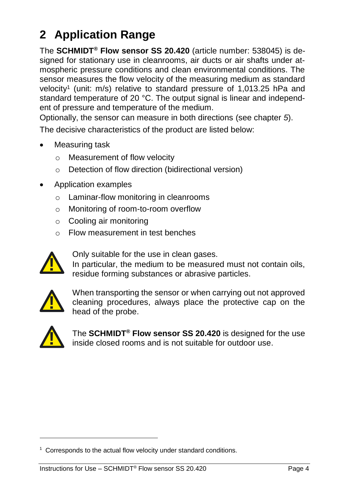# <span id="page-3-0"></span>**2 Application Range**

The **SCHMIDT® Flow sensor SS 20.420** (article number: 538045) is designed for stationary use in cleanrooms, air ducts or air shafts under atmospheric pressure conditions and clean environmental conditions. The sensor measures the flow velocity of the measuring medium as standard velocity<sup>1</sup> (unit: m/s) relative to standard pressure of 1,013.25 hPa and standard temperature of 20 °C. The output signal is linear and independent of pressure and temperature of the medium.

Optionally, the sensor can measure in both directions (see chapter *[5](#page-11-0)*). The decisive characteristics of the product are listed below:

Measuring task

- o Measurement of flow velocity
- o Detection of flow direction (bidirectional version)
- Application examples
	- o Laminar-flow monitoring in cleanrooms
	- o Monitoring of room-to-room overflow
	- o Cooling air monitoring
	- o Flow measurement in test benches



Only suitable for the use in clean gases.

In particular, the medium to be measured must not contain oils, residue forming substances or abrasive particles.



When transporting the sensor or when carrying out not approved cleaning procedures, always place the protective cap on the head of the probe. In particular, the medium to be measured musical residue forming substances or abrasive partic<br>
When transporting the sensor or when carryin<br>
cleaning procedures, always place the prot<br>
The **SCHMIDT<sup>®</sup> Flow sensor SS 20.42** 



-

The **SCHMIDT® Flow sensor SS 20.420** is designed for the use inside closed rooms and is not suitable for outdoor use.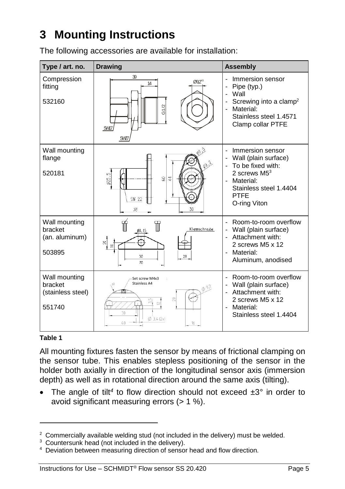# <span id="page-4-0"></span>**3 Mounting Instructions**

The following accessories are available for installation:

| Type / art. no.                                         | <b>Drawing</b>                                                                                                       | <b>Assembly</b>                                                                                                                                                         |
|---------------------------------------------------------|----------------------------------------------------------------------------------------------------------------------|-------------------------------------------------------------------------------------------------------------------------------------------------------------------------|
| Compression<br>fitting<br>532160                        | 39<br>092<br>14<br>G1/2<br>SM7<br>SND                                                                                | Immersion sensor<br>Pipe (typ.)<br>Wall<br>Screwing into a clamp <sup>2</sup><br>Material:<br>$\blacksquare$<br>Stainless steel 1.4571<br>Clamp collar PTFE             |
| Wall mounting<br>flange<br>520181                       | 625.5<br>9<br>44<br>SW 22<br>30<br>38                                                                                | Immersion sensor<br>Wall (plain surface)<br>To be fixed with:<br>2 screws $M53$<br>Material:<br>$\blacksquare$<br>Stainless steel 1.4404<br><b>PTFF</b><br>O-ring Viton |
| Wall mounting<br>bracket<br>(an. aluminum)<br>503895    | ₩<br>Klemmschraube<br>g<br>20<br>50<br>70                                                                            | Room-to-room overflow<br>Wall (plain surface)<br>Attachment with:<br>2 screws M5 x 12<br>- Material:<br>Aluminum, anodised                                              |
| Wall mounting<br>bracket<br>(stainless steel)<br>551740 | Set screw M4x3<br>Stainless A4<br>$\Phi$ 92<br>$\frac{15}{10}$<br>$\simeq$<br>30<br>$\emptyset$ 3,4 (2x)<br>40<br>16 | Room-to-room overflow<br>Wall (plain surface)<br>Attachment with:<br>2 screws M5 x 12<br>Material:<br>Stainless steel 1.4404                                            |

#### **Table 1**

1

All mounting fixtures fasten the sensor by means of frictional clamping on the sensor tube. This enables stepless positioning of the sensor in the holder both axially in direction of the longitudinal sensor axis (immersion depth) as well as in rotational direction around the same axis (tilting).

• The angle of tilt<sup>4</sup> to flow direction should not exceed  $\pm 3^\circ$  in order to avoid significant measuring errors (> 1 %).

 $2$  Commercially available welding stud (not included in the delivery) must be welded.

<sup>&</sup>lt;sup>3</sup> Countersunk head (not included in the delivery).

<sup>&</sup>lt;sup>4</sup> Deviation between measuring direction of sensor head and flow direction.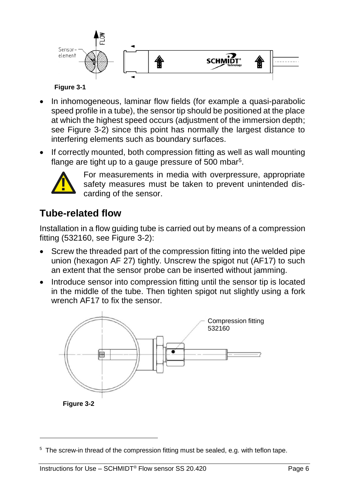

#### **Figure 3-1**

- In inhomogeneous, laminar flow fields (for example a quasi-parabolic speed profile in a tube), the sensor tip should be positioned at the place at which the highest speed occurs (adjustment of the immersion depth; see [Figure](#page-5-0) 3-2) since this point has normally the largest distance to interfering elements such as boundary surfaces.
- If correctly mounted, both compression fitting as well as wall mounting flange are tight up to a gauge pressure of 500 mbar<sup>5</sup>.



<span id="page-5-0"></span>-

For measurements in media with overpressure, appropriate safety measures must be taken to prevent unintended discarding of the sensor.

#### <span id="page-5-1"></span>**Tube-related flow**

Installation in a flow guiding tube is carried out by means of a compression fitting (532160, see [Figure](#page-5-0) 3-2):

- Screw the threaded part of the compression fitting into the welded pipe union (hexagon AF 27) tightly. Unscrew the spigot nut (AF17) to such an extent that the sensor probe can be inserted without jamming.
- Introduce sensor into compression fitting until the sensor tip is located in the middle of the tube. Then tighten spigot nut slightly using a fork wrench AF17 to fix the sensor.

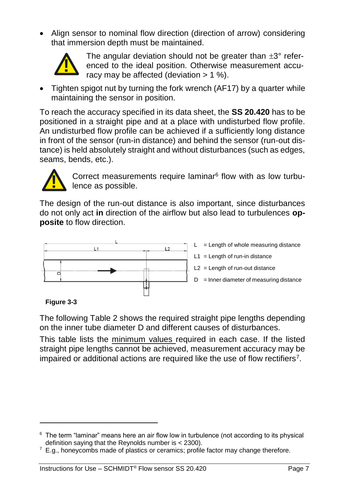Align sensor to nominal flow direction (direction of arrow) considering that immersion depth must be maintained.



The angular deviation should not be greater than  $\pm 3^{\circ}$  referenced to the ideal position. Otherwise measurement accuracy may be affected (deviation  $> 1$  %).

 Tighten spigot nut by turning the fork wrench (AF17) by a quarter while maintaining the sensor in position.

To reach the accuracy specified in its data sheet, the **SS 20.420** has to be positioned in a straight pipe and at a place with undisturbed flow profile. An undisturbed flow profile can be achieved if a sufficiently long distance in front of the sensor (run-in distance) and behind the sensor (run-out distance) is held absolutely straight and without disturbances (such as edges, seams, bends, etc.).



Correct measurements require laminar<sup>6</sup> flow with as low turbulence as possible.

The design of the run-out distance is also important, since disturbances do not only act **in** direction of the airflow but also lead to turbulences **opposite** to flow direction.



#### **Figure 3-3**

1

The following [Table](#page-7-0) 2 shows the required straight pipe lengths depending on the inner tube diameter D and different causes of disturbances.

This table lists the minimum values required in each case. If the listed straight pipe lengths cannot be achieved, measurement accuracy may be impaired or additional actions are required like the use of flow rectifiers<sup>7</sup>.

 $6$  The term "laminar" means here an air flow low in turbulence (not according to its physical definition saying that the Reynolds number is < 2300).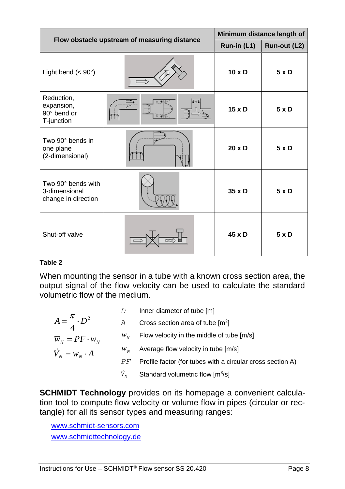| Flow obstacle upstream of measuring distance               |  | Minimum distance length of |              |
|------------------------------------------------------------|--|----------------------------|--------------|
|                                                            |  | Run-in (L1)                | Run-out (L2) |
| Light bend $(< 90^\circ)$                                  |  | $10 \times D$              | 5xD          |
| Reduction,<br>expansion,<br>90° bend or<br>T-junction      |  | $15 \times D$              | 5xD          |
| Two 90° bends in<br>one plane<br>(2-dimensional)           |  | $20 \times D$              | 5xD          |
| Two 90° bends with<br>3-dimensional<br>change in direction |  | 35 x D                     | 5xD          |
| Shut-off valve                                             |  | $45 \times D$              | 5xD          |

#### <span id="page-7-0"></span>**Table 2**

When mounting the sensor in a tube with a known cross section area, the output signal of the flow velocity can be used to calculate the standard volumetric flow of the medium.

|                                      |             | Inner diameter of tube [m]                                 |
|--------------------------------------|-------------|------------------------------------------------------------|
| $A=\frac{\pi}{4}\cdot D^2$           | A           | Cross section area of tube $[m^2]$                         |
| $\overline{w}_N = PF \cdot w_N$      | $W_{\rm M}$ | Flow velocity in the middle of tube [m/s]                  |
| $\dot{V}_N = \overline{W}_N \cdot A$ | $W_{\rm M}$ | Average flow velocity in tube [m/s]                        |
|                                      | РF          | Profile factor (for tubes with a circular cross section A) |
|                                      |             | Standard volumetric flow [m3/s]                            |

**SCHMIDT Technology** provides on its homepage a convenient calculation tool to compute flow velocity or volume flow in pipes (circular or rectangle) for all its sensor types and measuring ranges:

[www.schmidt-sensors.com](http://www.schmidt-sensors.com/) www.schmidttechnology.de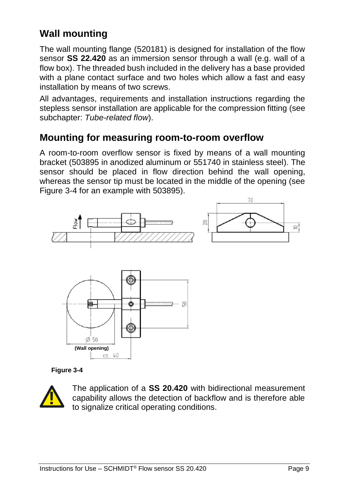## **Wall mounting**

The wall mounting flange (520181) is designed for installation of the flow sensor **SS 22.420** as an immersion sensor through a wall (e.g. wall of a flow box). The threaded bush included in the delivery has a base provided with a plane contact surface and two holes which allow a fast and easy installation by means of two screws.

All advantages, requirements and installation instructions regarding the stepless sensor installation are applicable for the compression fitting (see subchapter: *[Tube-related flow](#page-5-1)*).

#### **Mounting for measuring room-to-room overflow**

A room-to-room overflow sensor is fixed by means of a wall mounting bracket (503895 in anodized aluminum or 551740 in stainless steel). The sensor should be placed in flow direction behind the wall opening, whereas the sensor tip must be located in the middle of the opening (see [Figure](#page-8-0) 3-4 for an example with 503895).



#### <span id="page-8-0"></span>**Figure 3-4**



The application of a **SS 20.420** with bidirectional measurement capability allows the detection of backflow and is therefore able to signalize critical operating conditions.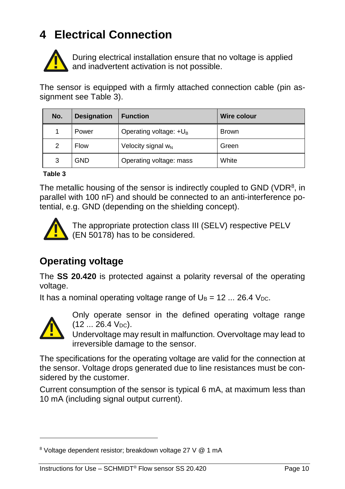# <span id="page-9-0"></span>**4 Electrical Connection**



During electrical installation ensure that no voltage is applied and inadvertent activation is not possible.

|          | <b>Designation</b>       | <b>Function</b>                                                                                                                                          | <b>Wire colour</b> |
|----------|--------------------------|----------------------------------------------------------------------------------------------------------------------------------------------------------|--------------------|
| 1        | Power                    | Operating voltage: $+U_B$                                                                                                                                | <b>Brown</b>       |
| 2        | Flow                     | Velocity signal w <sub>N</sub>                                                                                                                           | Green              |
| 3        | <b>GND</b>               | Operating voltage: mass                                                                                                                                  | White              |
| Table 3  |                          |                                                                                                                                                          |                    |
|          | <b>Operating voltage</b> |                                                                                                                                                          |                    |
|          |                          | The SS 20.420 is protected against a polarity reversal of the operating                                                                                  |                    |
| voltage. |                          |                                                                                                                                                          |                    |
|          |                          | It has a nominal operating voltage range of $U_B = 12$ 26.4 V <sub>DC</sub> .                                                                            |                    |
|          |                          |                                                                                                                                                          |                    |
|          | $(1226.4 V_{DC})$ .      | Only operate sensor in the defined operating voltage range                                                                                               |                    |
|          |                          | Undervoltage may result in malfunction. Overvoltage may lead to<br>irreversible damage to the sensor.                                                    |                    |
|          | sidered by the customer. | The specifications for the operating voltage are valid for the connection at<br>the sensor. Voltage drops generated due to line resistances must be con- |                    |

#### <span id="page-9-1"></span>**Table 3**



#### **Operating voltage**

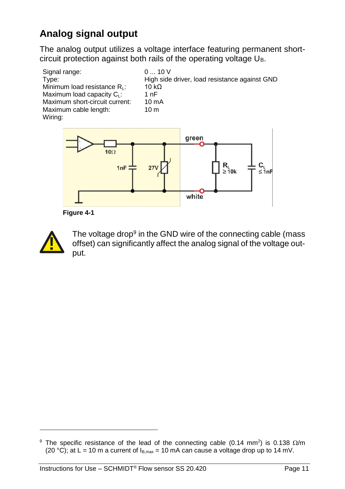## **Analog signal output**

The analog output utilizes a voltage interface featuring permanent shortcircuit protection against both rails of the operating voltage U<sub>B</sub>.



**Figure 4-1**



1

The voltage drop<sup>9</sup> in the GND wire of the connecting cable (mass offset) can significantly affect the analog signal of the voltage output. offset) can significantly affect the analog signal of the voltage c<br>put.<br>The specific resistance of the lead of the connecting cable (0.14 mm<sup>2</sup>) is 0.138 if<br>(20 °C); at L = 10 m a current of I<sub>B,max</sub> = 10 mA can cause a v

white

<sup>&</sup>lt;sup>9</sup> The specific resistance of the lead of the connecting cable (0.14 mm<sup>2</sup>) is 0.138  $\Omega/m$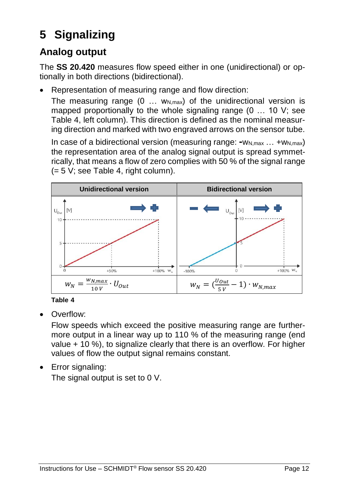# <span id="page-11-0"></span>**5 Signalizing**

## **Analog output**

The **SS 20.420** measures flow speed either in one (unidirectional) or optionally in both directions (bidirectional).

Representation of measuring range and flow direction:

The measuring range  $(0 \ldots w_{N,\text{max}})$  of the unidirectional version is mapped proportionally to the whole signaling range (0 … 10 V; see [Table](#page-11-1) 4, left column). This direction is defined as the nominal measuring direction and marked with two engraved arrows on the sensor tube.

In case of a bidirectional version (measuring range:  $-W_{N,max}$  ...  $+W_{N,max}$ ) the representation area of the analog signal output is spread symmetrically, that means a flow of zero complies with 50 % of the signal range (= 5 V; see [Table](#page-11-1) 4, right column).



<span id="page-11-1"></span>

Overflow:

Flow speeds which exceed the positive measuring range are furthermore output in a linear way up to 110 % of the measuring range (end value + 10 %), to signalize clearly that there is an overflow. For higher values of flow the output signal remains constant.

Error signaling:

The signal output is set to 0 V.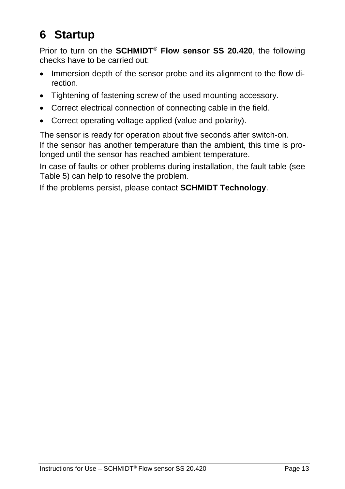# <span id="page-12-0"></span>**6 Startup**

Prior to turn on the **SCHMIDT® Flow sensor SS 20.420**, the following checks have to be carried out:

- Immersion depth of the sensor probe and its alignment to the flow direction.
- Tightening of fastening screw of the used mounting accessory.
- Correct electrical connection of connecting cable in the field.
- Correct operating voltage applied (value and polarity).

The sensor is ready for operation about five seconds after switch-on. If the sensor has another temperature than the ambient, this time is prolonged until the sensor has reached ambient temperature.

In case of faults or other problems during installation, the fault table (see [Table](#page-15-0) 5) can help to resolve the problem.

If the problems persist, please contact **SCHMIDT Technology**.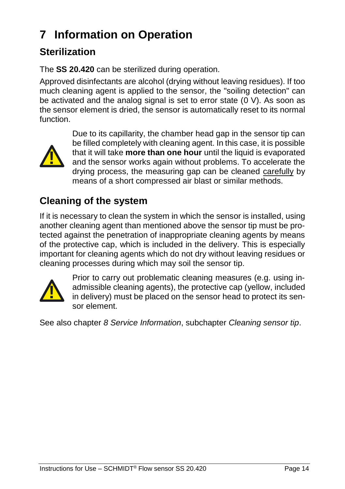# <span id="page-13-0"></span>**7 Information on Operation**

## **Sterilization**

The **SS 20.420** can be sterilized during operation.

Approved disinfectants are alcohol (drying without leaving residues). If too much cleaning agent is applied to the sensor, the "soiling detection" can be activated and the analog signal is set to error state (0 V). As soon as the sensor element is dried, the sensor is automatically reset to its normal function.



Due to its capillarity, the chamber head gap in the sensor tip can be filled completely with cleaning agent. In this case, it is possible that it will take **more than one hour** until the liquid is evaporated and the sensor works again without problems. To accelerate the drying process, the measuring gap can be cleaned carefully by means of a short compressed air blast or similar methods.

## **Cleaning of the system**

If it is necessary to clean the system in which the sensor is installed, using another cleaning agent than mentioned above the sensor tip must be protected against the penetration of inappropriate cleaning agents by means of the protective cap, which is included in the delivery. This is especially important for cleaning agents which do not dry without leaving residues or cleaning processes during which may soil the sensor tip.



Prior to carry out problematic cleaning measures (e.g. using inadmissible cleaning agents), the protective cap (yellow, included in delivery) must be placed on the sensor head to protect its sensor element.

See also chapter *[8](#page-14-0) [Service Information](#page-14-0)*, subchapter *[Cleaning sensor tip](#page-14-1)*.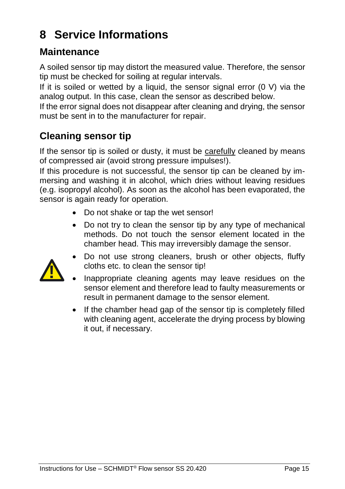# <span id="page-14-0"></span>**8 Service Informations**

#### **Maintenance**

A soiled sensor tip may distort the measured value. Therefore, the sensor tip must be checked for soiling at regular intervals.

If it is soiled or wetted by a liquid, the sensor signal error (0 V) via the analog output. In this case, clean the sensor as described below.

If the error signal does not disappear after cleaning and drying, the sensor must be sent in to the manufacturer for repair.

#### <span id="page-14-1"></span>**Cleaning sensor tip**

If the sensor tip is soiled or dusty, it must be carefully cleaned by means of compressed air (avoid strong pressure impulses!).

If this procedure is not successful, the sensor tip can be cleaned by immersing and washing it in alcohol, which dries without leaving residues (e.g. isopropyl alcohol). As soon as the alcohol has been evaporated, the sensor is again ready for operation.

- Do not shake or tap the wet sensor!
- Do not try to clean the sensor tip by any type of mechanical methods. Do not touch the sensor element located in the chamber head. This may irreversibly damage the sensor.



- Do not use strong cleaners, brush or other objects, fluffy cloths etc. to clean the sensor tip!
- Inappropriate cleaning agents may leave residues on the sensor element and therefore lead to faulty measurements or result in permanent damage to the sensor element.
- If the chamber head gap of the sensor tip is completely filled with cleaning agent, accelerate the drying process by blowing it out, if necessary.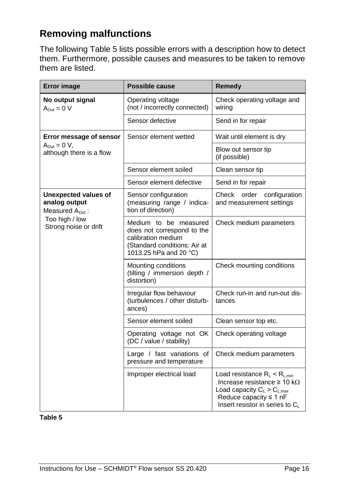### **Removing malfunctions**

The following [Table](#page-15-0) 5 lists possible errors with a description how to detect them. Furthermore, possible causes and measures to be taken to remove them are listed.

| <b>Error image</b>                                                                                              | Possible cause                                                                                                                      | Remedy                                                                                                                                                                                 |
|-----------------------------------------------------------------------------------------------------------------|-------------------------------------------------------------------------------------------------------------------------------------|----------------------------------------------------------------------------------------------------------------------------------------------------------------------------------------|
| No output signal<br>$A_{Out} = 0 V$                                                                             | Operating voltage<br>(not / incorrectly connected)                                                                                  | Check operating voltage and<br>wiring                                                                                                                                                  |
|                                                                                                                 | Sensor defective                                                                                                                    | Send in for repair                                                                                                                                                                     |
| Error message of sensor<br>$A_{Out} = 0 V$ ,<br>although there is a flow                                        | Sensor element wetted                                                                                                               | Wait until element is dry                                                                                                                                                              |
|                                                                                                                 |                                                                                                                                     | Blow out sensor tip<br>(if possible)                                                                                                                                                   |
|                                                                                                                 | Sensor element soiled                                                                                                               | Clean sensor tip                                                                                                                                                                       |
|                                                                                                                 | Sensor element defective                                                                                                            | Send in for repair                                                                                                                                                                     |
| Unexpected values of<br>analog output<br>Measured $A_{\text{Out}}$ :<br>Too high / low<br>Strong noise or drift | Sensor configuration<br>(measuring range / indica-<br>tion of direction)                                                            | Check<br>order<br>configuration<br>and measurement settings                                                                                                                            |
|                                                                                                                 | Medium to be measured<br>does not correspond to the<br>calibration medium<br>(Standard conditions: Air at<br>1013.25 hPa and 20 °C) | Check medium parameters                                                                                                                                                                |
|                                                                                                                 | Mounting conditions<br>(tilting / immersion depth /<br>distortion)                                                                  | Check mounting conditions                                                                                                                                                              |
|                                                                                                                 | Irregular flow behaviour<br>(turbulences / other disturb-<br>ances)                                                                 | Check run-in and run-out dis-<br>tances                                                                                                                                                |
|                                                                                                                 | Sensor element soiled                                                                                                               | Clean sensor top etc.                                                                                                                                                                  |
|                                                                                                                 | Operating voltage not OK<br>(DC / value / stability)                                                                                | Check operating voltage                                                                                                                                                                |
|                                                                                                                 | Large / fast variations of<br>pressure and temperature                                                                              | Check medium parameters                                                                                                                                                                |
|                                                                                                                 | Improper electrical load                                                                                                            | Load resistance $R_L < R_{L,min}$<br>Increase resistance $\geq 10 \text{ k}\Omega$<br>Load capacity $C_L > C_{L,max}$<br>Reduce capacity $\leq 1$ nF<br>Insert resistor in series to C |

<span id="page-15-0"></span>**Table 5**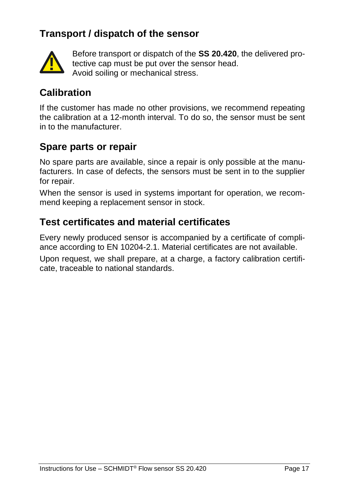### **Transport / dispatch of the sensor**



Before transport or dispatch of the **SS 20.420**, the delivered protective cap must be put over the sensor head. Avoid soiling or mechanical stress.

#### **Calibration**

If the customer has made no other provisions, we recommend repeating the calibration at a 12-month interval. To do so, the sensor must be sent in to the manufacturer.

#### **Spare parts or repair**

No spare parts are available, since a repair is only possible at the manufacturers. In case of defects, the sensors must be sent in to the supplier for repair.

When the sensor is used in systems important for operation, we recommend keeping a replacement sensor in stock.

#### **Test certificates and material certificates**

Every newly produced sensor is accompanied by a certificate of compliance according to EN 10204-2.1. Material certificates are not available.

Upon request, we shall prepare, at a charge, a factory calibration certificate, traceable to national standards.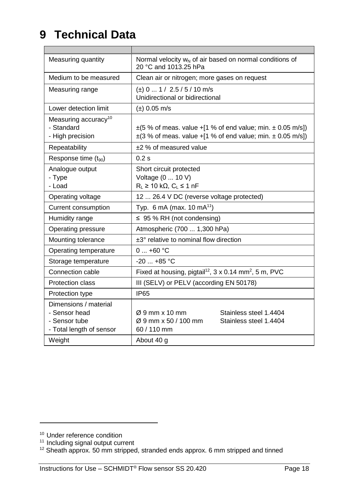# <span id="page-17-0"></span>**9 Technical Data**

| Measuring quantity                                                                  | Normal velocity $w_N$ of air based on normal conditions of<br>20 °C and 1013.25 hPa                                                        |  |
|-------------------------------------------------------------------------------------|--------------------------------------------------------------------------------------------------------------------------------------------|--|
| Medium to be measured                                                               | Clean air or nitrogen; more gases on request                                                                                               |  |
| Measuring range                                                                     | $(\pm)$ 0  1 / 2.5 / 5 / 10 m/s<br>Unidirectional or bidirectional                                                                         |  |
| Lower detection limit                                                               | $(\pm)$ 0.05 m/s                                                                                                                           |  |
| Measuring accuracy <sup>10</sup><br>- Standard<br>- High precision                  | $\pm$ (5 % of meas. value +[1 % of end value; min. $\pm$ 0.05 m/s])<br>$\pm$ (3 % of meas. value +[1 % of end value; min. $\pm$ 0.05 m/s]) |  |
| Repeatability                                                                       | ±2 % of measured value                                                                                                                     |  |
| Response time (t <sub>90</sub> )                                                    | 0.2s                                                                                                                                       |  |
| Analogue output<br>- Type<br>- Load                                                 | Short circuit protected<br>Voltage (0  10 V)<br>$R_L \ge 10 k\Omega$ , $C_L \le 1 nF$                                                      |  |
| Operating voltage                                                                   | 12  26.4 V DC (reverse voltage protected)                                                                                                  |  |
| Current consumption                                                                 | Typ. 6 mA (max. 10 mA <sup>11</sup> )                                                                                                      |  |
| Humidity range                                                                      | $\leq$ 95 % RH (not condensing)                                                                                                            |  |
| Operating pressure                                                                  | Atmospheric (700  1,300 hPa)                                                                                                               |  |
| Mounting tolerance                                                                  | ±3° relative to nominal flow direction                                                                                                     |  |
| Operating temperature                                                               | $0+60$ °C                                                                                                                                  |  |
| Storage temperature                                                                 | $-20$ $+85$ °C                                                                                                                             |  |
| Connection cable                                                                    | Fixed at housing, pigtail <sup>12</sup> , 3 x 0.14 mm <sup>2</sup> , 5 m, PVC                                                              |  |
| Protection class                                                                    | III (SELV) or PELV (according EN 50178)                                                                                                    |  |
| Protection type                                                                     | IP65                                                                                                                                       |  |
| Dimensions / material<br>- Sensor head<br>- Sensor tube<br>- Total length of sensor | $\varnothing$ 9 mm x 10 mm<br>Stainless steel 1.4404<br>Ø 9 mm x 50 / 100 mm<br>Stainless steel 1.4404<br>60 / 110 mm                      |  |
| Weight                                                                              | About 40 g                                                                                                                                 |  |

1

<sup>&</sup>lt;sup>10</sup> Under reference condition

<sup>&</sup>lt;sup>11</sup> Including signal output current

 $12$  Sheath approx. 50 mm stripped, stranded ends approx. 6 mm stripped and tinned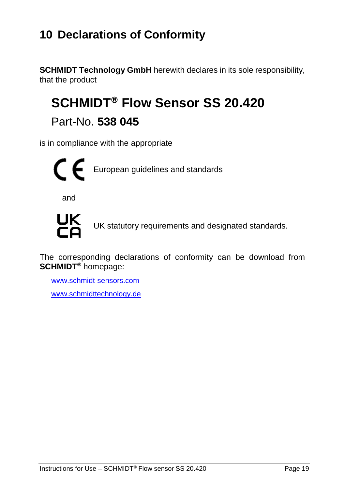## <span id="page-18-0"></span>**10 Declarations of Conformity**

**SCHMIDT Technology GmbH** herewith declares in its sole responsibility, that the product

# **SCHMIDT<sup>®</sup> Flow Sensor SS 20.420**

Part-No. **538 045**

is in compliance with the appropriate



and



UK statutory requirements and designated standards.

The corresponding declarations of conformity can be download from **SCHMIDT®** homepage:

[www.schmidt-sensors.com](http://www.schmidt-sensors.com/) www.schmidttechnology.de